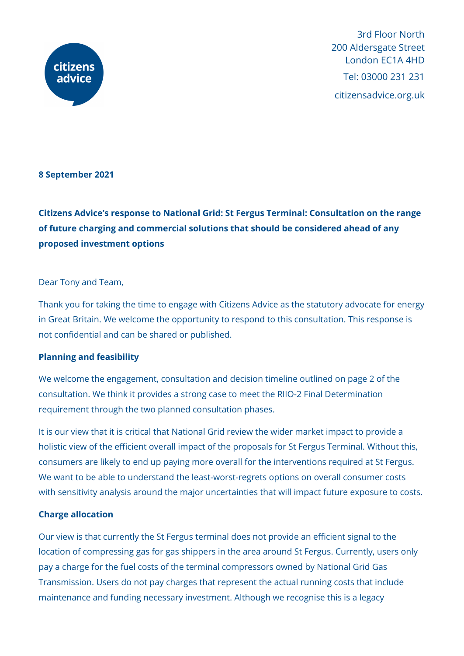

3rd Floor North 200 Aldersgate Street London EC1A 4HD Tel: 03000 231 231 citizensadvice.org.uk

# **8 September 2021**

**Citizens Advice's response to National Grid: St Fergus Terminal: Consultation on the range of future charging and commercial solutions that should be considered ahead of any proposed investment options**

#### Dear Tony and Team,

Thank you for taking the time to engage with Citizens Advice as the statutory advocate for energy in Great Britain. We welcome the opportunity to respond to this consultation. This response is not confidential and can be shared or published.

# **Planning and feasibility**

We welcome the engagement, consultation and decision timeline outlined on page 2 of the consultation. We think it provides a strong case to meet the RIIO-2 Final Determination requirement through the two planned consultation phases.

It is our view that it is critical that National Grid review the wider market impact to provide a holistic view of the efficient overall impact of the proposals for St Fergus Terminal. Without this, consumers are likely to end up paying more overall for the interventions required at St Fergus. We want to be able to understand the least-worst-regrets options on overall consumer costs with sensitivity analysis around the major uncertainties that will impact future exposure to costs.

# **Charge allocation**

Our view is that currently the St Fergus terminal does not provide an efficient signal to the location of compressing gas for gas shippers in the area around St Fergus. Currently, users only pay a charge for the fuel costs of the terminal compressors owned by National Grid Gas Transmission. Users do not pay charges that represent the actual running costs that include maintenance and funding necessary investment. Although we recognise this is a legacy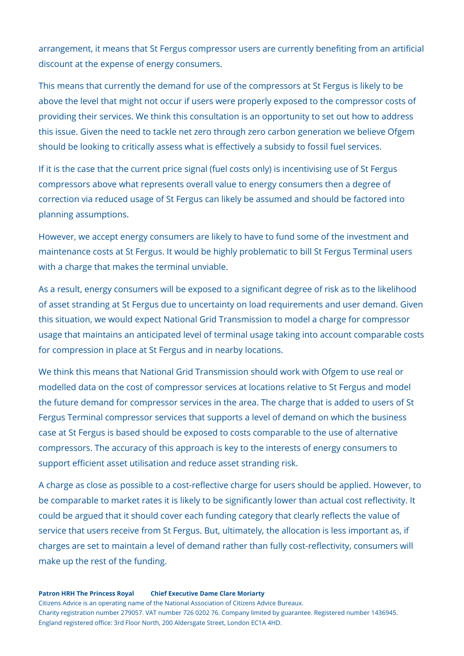arrangement, it means that St Fergus compressor users are currently benefiting from an artificial discount at the expense of energy consumers.

This means that currently the demand for use of the compressors at St Fergus is likely to be above the level that might not occur if users were properly exposed to the compressor costs of providing their services. We think this consultation is an opportunity to set out how to address this issue. Given the need to tackle net zero through zero carbon generation we believe Ofgem should be looking to critically assess what is effectively a subsidy to fossil fuel services.

If it is the case that the current price signal (fuel costs only) is incentivising use of St Fergus compressors above what represents overall value to energy consumers then a degree of correction via reduced usage of St Fergus can likely be assumed and should be factored into planning assumptions.

However, we accept energy consumers are likely to have to fund some of the investment and maintenance costs at St Fergus. It would be highly problematic to bill St Fergus Terminal users with a charge that makes the terminal unviable.

As a result, energy consumers will be exposed to a significant degree of risk as to the likelihood of asset stranding at St Fergus due to uncertainty on load requirements and user demand. Given this situation, we would expect National Grid Transmission to model a charge for compressor usage that maintains an anticipated level of terminal usage taking into account comparable costs for compression in place at St Fergus and in nearby locations.

We think this means that National Grid Transmission should work with Ofgem to use real or modelled data on the cost of compressor services at locations relative to St Fergus and model the future demand for compressor services in the area. The charge that is added to users of St Fergus Terminal compressor services that supports a level of demand on which the business case at St Fergus is based should be exposed to costs comparable to the use of alternative compressors. The accuracy of this approach is key to the interests of energy consumers to support efficient asset utilisation and reduce asset stranding risk.

A charge as close as possible to a cost-reflective charge for users should be applied. However, to be comparable to market rates it is likely to be significantly lower than actual cost reflectivity. It could be argued that it should cover each funding category that clearly reflects the value of service that users receive from St Fergus. But, ultimately, the allocation is less important as, if charges are set to maintain a level of demand rather than fully cost-reflectivity, consumers will make up the rest of the funding.

#### **Patron HRH The Princess Royal Chief Executive Dame Clare Moriarty**

Citizens Advice is an operating name of the National Association of Citizens Advice Bureaux. Charity registration number 279057. VAT number 726 0202 76. Company limited by guarantee. Registered number 1436945. England registered office: 3rd Floor North, 200 Aldersgate Street, London EC1A 4HD.